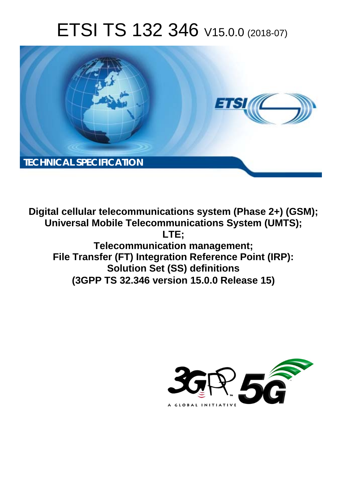# ETSI TS 132 346 V15.0.0 (2018-07)



**Digital cellular telecommunications system (Phase 2+) (GSM); Universal Mobile Telecommunications System (UMTS); LTE; Telecommunication management; File Transfer (FT) Integration Reference Point (IRP): Solution Set (SS) definitions (3GPP TS 32.346 version 15.0.0 Release 15)** 

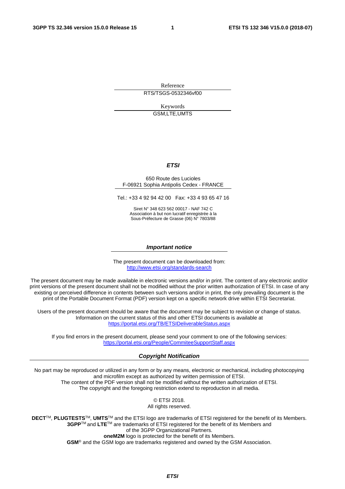Reference RTS/TSGS-0532346vf00

> Keywords GSM,LTE,UMTS

#### *ETSI*

#### 650 Route des Lucioles F-06921 Sophia Antipolis Cedex - FRANCE

Tel.: +33 4 92 94 42 00 Fax: +33 4 93 65 47 16

Siret N° 348 623 562 00017 - NAF 742 C Association à but non lucratif enregistrée à la Sous-Préfecture de Grasse (06) N° 7803/88

#### *Important notice*

The present document can be downloaded from: <http://www.etsi.org/standards-search>

The present document may be made available in electronic versions and/or in print. The content of any electronic and/or print versions of the present document shall not be modified without the prior written authorization of ETSI. In case of any existing or perceived difference in contents between such versions and/or in print, the only prevailing document is the print of the Portable Document Format (PDF) version kept on a specific network drive within ETSI Secretariat.

Users of the present document should be aware that the document may be subject to revision or change of status. Information on the current status of this and other ETSI documents is available at <https://portal.etsi.org/TB/ETSIDeliverableStatus.aspx>

If you find errors in the present document, please send your comment to one of the following services: <https://portal.etsi.org/People/CommiteeSupportStaff.aspx>

#### *Copyright Notification*

No part may be reproduced or utilized in any form or by any means, electronic or mechanical, including photocopying and microfilm except as authorized by written permission of ETSI. The content of the PDF version shall not be modified without the written authorization of ETSI. The copyright and the foregoing restriction extend to reproduction in all media.

> © ETSI 2018. All rights reserved.

**DECT**TM, **PLUGTESTS**TM, **UMTS**TM and the ETSI logo are trademarks of ETSI registered for the benefit of its Members. **3GPP**TM and **LTE**TM are trademarks of ETSI registered for the benefit of its Members and of the 3GPP Organizational Partners. **oneM2M** logo is protected for the benefit of its Members.

**GSM**® and the GSM logo are trademarks registered and owned by the GSM Association.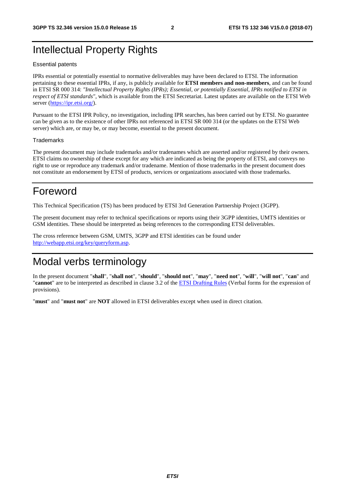## Intellectual Property Rights

#### Essential patents

IPRs essential or potentially essential to normative deliverables may have been declared to ETSI. The information pertaining to these essential IPRs, if any, is publicly available for **ETSI members and non-members**, and can be found in ETSI SR 000 314: *"Intellectual Property Rights (IPRs); Essential, or potentially Essential, IPRs notified to ETSI in respect of ETSI standards"*, which is available from the ETSI Secretariat. Latest updates are available on the ETSI Web server ([https://ipr.etsi.org/\)](https://ipr.etsi.org/).

Pursuant to the ETSI IPR Policy, no investigation, including IPR searches, has been carried out by ETSI. No guarantee can be given as to the existence of other IPRs not referenced in ETSI SR 000 314 (or the updates on the ETSI Web server) which are, or may be, or may become, essential to the present document.

#### **Trademarks**

The present document may include trademarks and/or tradenames which are asserted and/or registered by their owners. ETSI claims no ownership of these except for any which are indicated as being the property of ETSI, and conveys no right to use or reproduce any trademark and/or tradename. Mention of those trademarks in the present document does not constitute an endorsement by ETSI of products, services or organizations associated with those trademarks.

## Foreword

This Technical Specification (TS) has been produced by ETSI 3rd Generation Partnership Project (3GPP).

The present document may refer to technical specifications or reports using their 3GPP identities, UMTS identities or GSM identities. These should be interpreted as being references to the corresponding ETSI deliverables.

The cross reference between GSM, UMTS, 3GPP and ETSI identities can be found under [http://webapp.etsi.org/key/queryform.asp.](http://webapp.etsi.org/key/queryform.asp)

## Modal verbs terminology

In the present document "**shall**", "**shall not**", "**should**", "**should not**", "**may**", "**need not**", "**will**", "**will not**", "**can**" and "**cannot**" are to be interpreted as described in clause 3.2 of the [ETSI Drafting Rules](https://portal.etsi.org/Services/editHelp!/Howtostart/ETSIDraftingRules.aspx) (Verbal forms for the expression of provisions).

"**must**" and "**must not**" are **NOT** allowed in ETSI deliverables except when used in direct citation.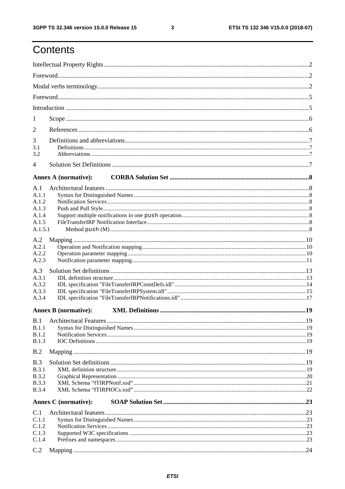## Contents

| 1            |                             |  |
|--------------|-----------------------------|--|
| 2            |                             |  |
| 3            |                             |  |
| 3.1<br>3.2   |                             |  |
| 4            |                             |  |
|              |                             |  |
|              | <b>Annex A (normative):</b> |  |
| A.1<br>A.1.1 |                             |  |
| A.1.2        |                             |  |
| A.1.3        |                             |  |
| A.1.4        |                             |  |
| A.1.5        |                             |  |
| A.1.5.1      |                             |  |
| A.2          |                             |  |
| A.2.1        |                             |  |
| A.2.2        |                             |  |
| A.2.3        |                             |  |
| A.3          |                             |  |
| A.3.1        |                             |  |
| A.3.2        |                             |  |
| A.3.3        |                             |  |
| A.3.4        |                             |  |
|              | <b>Annex B</b> (normative): |  |
|              |                             |  |
| <b>B.1.1</b> |                             |  |
| B.1.2        |                             |  |
| <b>B.1.3</b> |                             |  |
| B.2          |                             |  |
| B.3          |                             |  |
| <b>B.3.1</b> |                             |  |
| <b>B.3.2</b> |                             |  |
| <b>B.3.3</b> |                             |  |
| <b>B.3.4</b> |                             |  |
|              | <b>Annex C</b> (normative): |  |
| C.1          |                             |  |
| C.1.1        |                             |  |
| C.1.2        |                             |  |
| C.1.3        |                             |  |
| C.1.4        |                             |  |
| C.2          |                             |  |
|              |                             |  |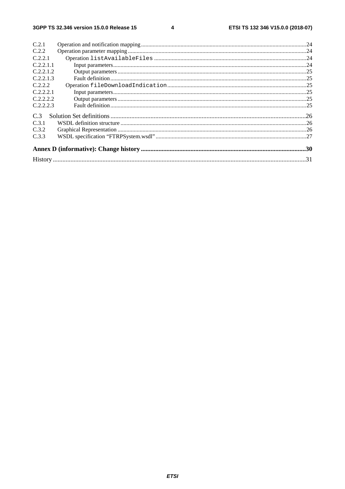$\overline{\mathbf{4}}$ 

| C.2.1     |  |
|-----------|--|
| C.2.2     |  |
| C.2.2.1   |  |
| C.2.2.1.1 |  |
| C.2.2.1.2 |  |
| C.2.2.1.3 |  |
| C.2.2.2   |  |
| C.2.2.2.1 |  |
| C.2.2.2.2 |  |
| C.2.2.2.3 |  |
| C.3       |  |
| C.3.1     |  |
| C.3.2     |  |
| C.3.3     |  |
|           |  |
|           |  |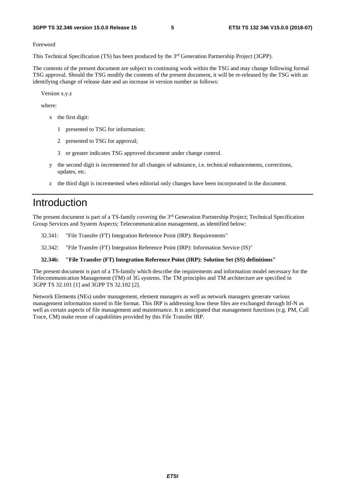Foreword

This Technical Specification (TS) has been produced by the 3<sup>rd</sup> Generation Partnership Project (3GPP).

The contents of the present document are subject to continuing work within the TSG and may change following formal TSG approval. Should the TSG modify the contents of the present document, it will be re-released by the TSG with an identifying change of release date and an increase in version number as follows:

Version x.y.z

where:

- x the first digit:
	- 1 presented to TSG for information;
	- 2 presented to TSG for approval;
	- 3 or greater indicates TSG approved document under change control.
- y the second digit is incremented for all changes of substance, i.e. technical enhancements, corrections, updates, etc.
- z the third digit is incremented when editorial only changes have been incorporated in the document.

## Introduction

The present document is part of a TS-family covering the 3rd Generation Partnership Project; Technical Specification Group Services and System Aspects; Telecommunication management, as identified below:

- 32.341: "File Transfer (FT) Integration Reference Point (IRP): Requirements"
- 32.342: "File Transfer (FT) Integration Reference Point (IRP): Information Service (IS)"

#### **32.346: "File Transfer (FT) Integration Reference Point (IRP): Solution Set (SS) definitions"**

The present document is part of a TS-family which describe the requirements and information model necessary for the Telecommunication Management (TM) of 3G systems. The TM principles and TM architecture are specified in 3GPP TS 32.101 [1] and 3GPP TS 32.102 [2].

Network Elements (NEs) under management, element managers as well as network managers generate various management information stored in file format. This IRP is addressing how these files are exchanged through Itf-N as well as certain aspects of file management and maintenance. It is anticipated that management functions (e.g. PM, Call Trace, CM) make reuse of capabilities provided by this File Transfer IRP.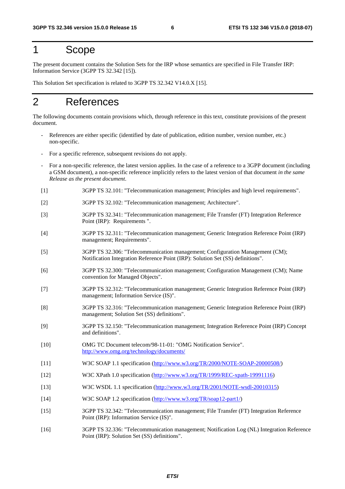### 1 Scope

The present document contains the Solution Sets for the IRP whose semantics are specified in File Transfer IRP: Information Service (3GPP TS 32.342 [15]).

This Solution Set specification is related to 3GPP TS 32.342 V14.0.X [15].

## 2 References

The following documents contain provisions which, through reference in this text, constitute provisions of the present document.

- References are either specific (identified by date of publication, edition number, version number, etc.) non-specific.
- For a specific reference, subsequent revisions do not apply.
- For a non-specific reference, the latest version applies. In the case of a reference to a 3GPP document (including a GSM document), a non-specific reference implicitly refers to the latest version of that document *in the same Release as the present document*.
- [1] 3GPP TS 32.101: "Telecommunication management; Principles and high level requirements".
- [2] 3GPP TS 32.102: "Telecommunication management; Architecture".
- [3] 3GPP TS 32.341: "Telecommunication management; File Transfer (FT) Integration Reference Point (IRP): Requirements ".
- [4] 3GPP TS 32.311: "Telecommunication management; Generic Integration Reference Point (IRP) management; Requirements".
- [5] 3GPP TS 32.306: "Telecommunication management; Configuration Management (CM); Notification Integration Reference Point (IRP): Solution Set (SS) definitions".
- [6] 3GPP TS 32.300: "Telecommunication management; Configuration Management (CM); Name convention for Managed Objects".
- [7] 3GPP TS 32.312: "Telecommunication management; Generic Integration Reference Point (IRP) management; Information Service (IS)".
- [8] 3GPP TS 32.316: "Telecommunication management; Generic Integration Reference Point (IRP) management; Solution Set (SS) definitions".
- [9] 3GPP TS 32.150: "Telecommunication management; Integration Reference Point (IRP) Concept and definitions".
- [10] OMG TC Document telecom/98-11-01: "OMG Notification Service". <http://www.omg.org/technology/documents/>
- [11] W3C SOAP 1.1 specification [\(http://www.w3.org/TR/2000/NOTE-SOAP-20000508/](http://www.w3.org/TR/2000/NOTE-SOAP-20000508/))
- [12] W3C XPath 1.0 specification ([http://www.w3.org/TR/1999/REC-xpath-19991116\)](http://www.w3.org/TR/1999/REC-xpath-19991116)
- [13] W3C WSDL 1.1 specification (<http://www.w3.org/TR/2001/NOTE-wsdl-20010315>)
- [14] W3C SOAP 1.2 specification [\(http://www.w3.org/TR/soap12-part1/](http://www.w3.org/TR/soap12-part1/))
- [15] 3GPP TS 32.342: "Telecommunication management; File Transfer (FT) Integration Reference Point (IRP): Information Service (IS)".
- [16] 3GPP TS 32.336: "Telecommunication management; Notification Log (NL) Integration Reference Point (IRP): Solution Set (SS) definitions".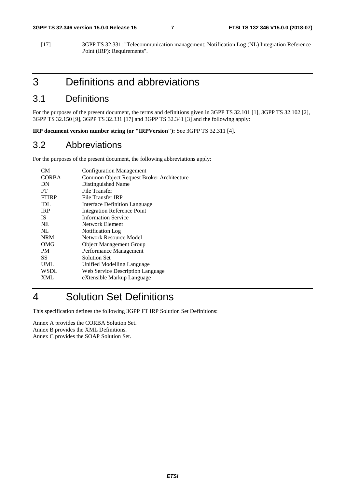[17] 3GPP TS 32.331: "Telecommunication management; Notification Log (NL) Integration Reference Point (IRP): Requirements".

## 3 Definitions and abbreviations

#### 3.1 Definitions

For the purposes of the present document, the terms and definitions given in 3GPP TS 32.101 [1], 3GPP TS 32.102 [2], 3GPP TS 32.150 [9], 3GPP TS 32.331 [17] and 3GPP TS 32.341 [3] and the following apply:

**IRP document version number string (or "IRPVersion"):** See 3GPP TS 32.311 [4].

#### 3.2 Abbreviations

For the purposes of the present document, the following abbreviations apply:

| CM           | <b>Configuration Management</b>           |
|--------------|-------------------------------------------|
| <b>CORBA</b> | Common Object Request Broker Architecture |
| DN           | Distinguished Name                        |
| FT           | File Transfer                             |
| <b>FTIRP</b> | File Transfer IRP                         |
| IDL          | <b>Interface Definition Language</b>      |
| <b>IRP</b>   | <b>Integration Reference Point</b>        |
| IS.          | <b>Information Service</b>                |
| <b>NE</b>    | Network Element                           |
| NL           | Notification Log                          |
| <b>NRM</b>   | <b>Network Resource Model</b>             |
| OMG          | <b>Object Management Group</b>            |
| <b>PM</b>    | Performance Management                    |
| SS           | Solution Set                              |
| <b>UML</b>   | Unified Modelling Language                |
| <b>WSDL</b>  | Web Service Description Language          |
| XML          | eXtensible Markup Language                |
|              |                                           |

## 4 Solution Set Definitions

This specification defines the following 3GPP FT IRP Solution Set Definitions:

Annex A provides the CORBA Solution Set. Annex B provides the XML Definitions. Annex C provides the SOAP Solution Set.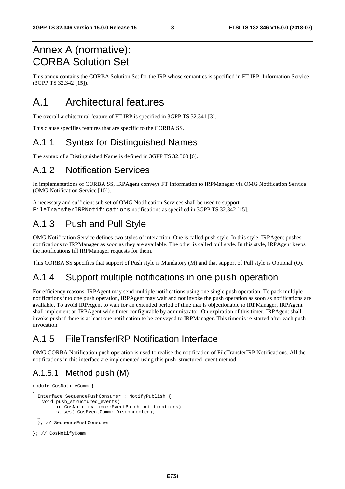## Annex A (normative): CORBA Solution Set

This annex contains the CORBA Solution Set for the IRP whose semantics is specified in FT IRP: Information Service (3GPP TS 32.342 [15]).

## A.1 Architectural features

The overall architectural feature of FT IRP is specified in 3GPP TS 32.341 [3].

This clause specifies features that are specific to the CORBA SS.

## A.1.1 Syntax for Distinguished Names

The syntax of a Distinguished Name is defined in 3GPP TS 32.300 [6].

### A.1.2 Notification Services

In implementations of CORBA SS, IRPAgent conveys FT Information to IRPManager via OMG Notification Service (OMG Notification Service [10]).

A necessary and sufficient sub set of OMG Notification Services shall be used to support FileTransferIRPNotifications notifications as specified in 3GPP TS 32.342 [15].

## A.1.3 Push and Pull Style

OMG Notification Service defines two styles of interaction. One is called push style. In this style, IRPAgent pushes notifications to IRPManager as soon as they are available. The other is called pull style. In this style, IRPAgent keeps the notifications till IRPManager requests for them.

This CORBA SS specifies that support of Push style is Mandatory (M) and that support of Pull style is Optional (O).

### A.1.4 Support multiple notifications in one push operation

For efficiency reasons, IRPAgent may send multiple notifications using one single push operation. To pack multiple notifications into one push operation, IRPAgent may wait and not invoke the push operation as soon as notifications are available. To avoid IRPAgent to wait for an extended period of time that is objectionable to IRPManager, IRPAgent shall implement an IRPAgent wide timer configurable by administrator. On expiration of this timer, IRPAgent shall invoke push if there is at least one notification to be conveyed to IRPManager. This timer is re-started after each push invocation.

## A.1.5 FileTransferIRP Notification Interface

OMG CORBA Notification push operation is used to realise the notification of FileTransferIRP Notifications. All the notifications in this interface are implemented using this push\_structured\_event method.

### A.1.5.1 Method push (M)

```
module CosNotifyComm { 
… 
 Interface SequencePushConsumer : NotifyPublish { 
   void push_structured_events( 
         in CosNotification::EventBatch notifications) 
         raises( CosEventComm::Disconnected); 
  … 
 }; // SequencePushConsumer 
  … 
}; // CosNotifyComm
```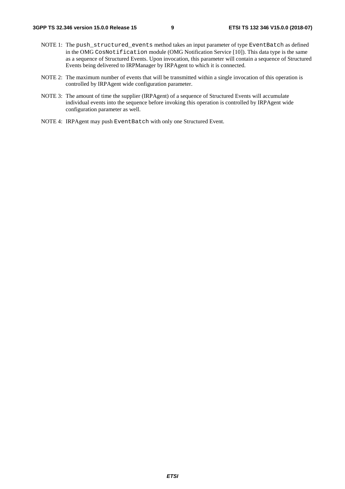- NOTE 1: The push\_structured\_events method takes an input parameter of type EventBatch as defined in the OMG CosNotification module (OMG Notification Service [10]). This data type is the same as a sequence of Structured Events. Upon invocation, this parameter will contain a sequence of Structured Events being delivered to IRPManager by IRPAgent to which it is connected.
- NOTE 2: The maximum number of events that will be transmitted within a single invocation of this operation is controlled by IRPAgent wide configuration parameter.
- NOTE 3: The amount of time the supplier (IRPAgent) of a sequence of Structured Events will accumulate individual events into the sequence before invoking this operation is controlled by IRPAgent wide configuration parameter as well.
- NOTE 4: IRPAgent may push EventBatch with only one Structured Event.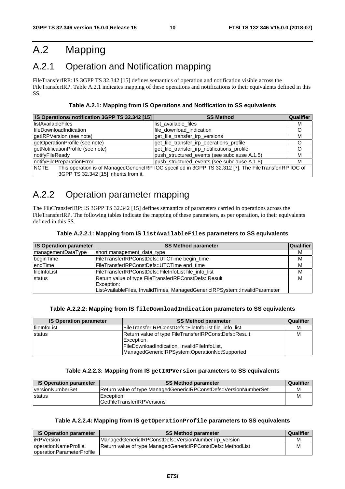## A.2 Mapping

## A.2.1 Operation and Notification mapping

FileTransferIRP: IS 3GPP TS 32.342 [15] defines semantics of operation and notification visible across the FileTransferIRP. Table A.2.1 indicates mapping of these operations and notifications to their equivalents defined in this SS.

**Table A.2.1: Mapping from IS Operations and Notification to SS equivalents** 

| IS Operations/ notification 3GPP TS 32.342 [15] | <b>SS Method</b>                                                                                       | <b>Qualifier</b> |
|-------------------------------------------------|--------------------------------------------------------------------------------------------------------|------------------|
| <b>listAvailableFiles</b>                       | list available files                                                                                   | М                |
| <b>IfileDownloadIndication</b>                  | file_download_indication                                                                               |                  |
| getIRPVersion (see note)                        | get_file_transfer_irp_versions                                                                         | м                |
| getOperationProfile (see note)                  | get_file_transfer_irp_operations_profile                                                               |                  |
| getNotificationProfile (see note)               | get_file_transfer_irp_notifications_profile                                                            |                  |
| notifyFileReady                                 | push_structured_events (see subclause A.1.5)                                                           | М                |
| notifyFilePreparationError                      | push_structured_events (see subclause A.1.5)                                                           | М                |
| NOTE:                                           | This operation is of ManagedGenericIRP IOC specified in 3GPP TS 32.312 [7]. The FileTransferIRP IOC of |                  |
| 3GPP TS 32.342 [15] inherits from it.           |                                                                                                        |                  |

## A.2.2 Operation parameter mapping

The FileTransferIRP: IS 3GPP TS 32.342 [15] defines semantics of parameters carried in operations across the FileTransferIRP. The following tables indicate the mapping of these parameters, as per operation, to their equivalents defined in this SS.

| <b>IS Operation parameter</b> | <b>SS Method parameter</b>                                                  | <b>Qualifier</b> |
|-------------------------------|-----------------------------------------------------------------------------|------------------|
| <b>ImanagementDataType</b>    | short management_data_type                                                  | м                |
| beginTime                     | FileTransferIRPConstDefs::UTCTime begin_time                                | м                |
| lendTime                      | FileTransferIRPConstDefs::UTCTime end_time                                  | М                |
| <b>IfileInfoList</b>          | FileTransferIRPConstDefs::FileInfoList file_info_list                       | м                |
| status                        | Return value of type FileTransferIRPConstDefs::Result                       | М                |
|                               | Exception:                                                                  |                  |
|                               | ListAvailableFiles, InvalidTimes, ManagedGenericIRPSystem::InvalidParameter |                  |

#### **Table A.2.2.1: Mapping from IS listAvailableFiles parameters to SS equivalents**

#### **Table A.2.2.2: Mapping from IS fileDownloadIndication parameters to SS equivalents**

| <b>IS Operation parameter</b> | <b>SS Method parameter</b>                                          | Qualifier |
|-------------------------------|---------------------------------------------------------------------|-----------|
| fileInfoList                  | FileTransferIRPConstDefs::FileInfoList file info list               |           |
| <b>Istatus</b>                | Return value of type FileTransferIRPConstDefs::Result<br>Exception: |           |
|                               | FileDownloadIndication, InvalidFileInfoList,                        |           |
|                               | ManagedGenericlRPSystem:OperationNotSupported                       |           |

#### **Table A.2.2.3: Mapping from IS getIRPVersion parameters to SS equivalents**

| <b>IS Operation parameter</b> | <b>SS Method parameter</b>                                               | Qualifier |
|-------------------------------|--------------------------------------------------------------------------|-----------|
| <b>IversionNumberSet</b>      | <b>Return value of type ManagedGenericIRPConstDefs::VersionNumberSet</b> | M         |
| <b>Istatus</b>                | Exception:                                                               |           |
|                               | <b>IGetFileTransferIRPVersions</b>                                       |           |

#### **Table A.2.2.4: Mapping from IS getOperationProfile parameters to SS equivalents**

| <b>IS Operation parameter</b> | <b>SS Method parameter</b>                                  | Qualifier |
|-------------------------------|-------------------------------------------------------------|-----------|
| <b>IRPVersion</b>             | ManagedGenericlRPConstDefs:: VersionNumber irp version      |           |
| operationNameProfile,         | Return value of type ManagedGenericIRPConstDefs::MethodList |           |
| loperationParameterProfile    |                                                             |           |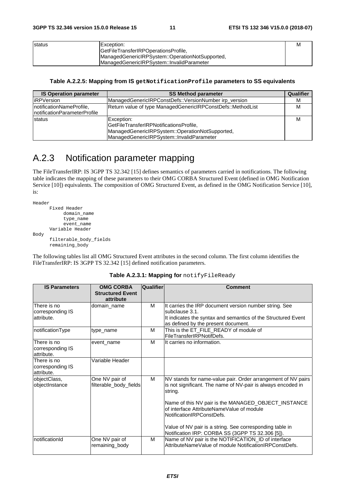| <b>Istatus</b> | Exception:                                      | M |
|----------------|-------------------------------------------------|---|
|                | GetFileTransferIRPOperationsProfile,            |   |
|                | ManagedGenericlRPSystem::OperationNotSupported, |   |
|                | IManagedGenericIRPSystem::InvalidParameter      |   |

#### **Table A.2.2.5: Mapping from IS getNotificationProfile parameters to SS equivalents**

| <b>IS Operation parameter</b>                              | <b>SS Method parameter</b>                                                                                                                             | Qualifier |
|------------------------------------------------------------|--------------------------------------------------------------------------------------------------------------------------------------------------------|-----------|
| <b>IRPVersion</b>                                          | ManagedGenericIRPConstDefs::VersionNumber irp_version                                                                                                  | М         |
| InotificationNameProfile,<br>InotificationParameterProfile | Return value of type ManagedGenericIRPConstDefs::MethodList                                                                                            | м         |
| <b>status</b>                                              | Exception:<br>GetFileTransferIRPNotificationsProfile,<br> ManagedGenericlRPSystem::OperationNotSupported,<br>ManagedGenericlRPSystem::InvalidParameter | М         |

## A.2.3 Notification parameter mapping

The FileTransferIRP: IS 3GPP TS 32.342 [15] defines semantics of parameters carried in notifications. The following table indicates the mapping of these parameters to their OMG CORBA Structured Event (defined in OMG Notification Service [10]) equivalents. The composition of OMG Structured Event, as defined in the OMG Notification Service [10], is:

```
Header 
        Fixed Header 
             domain_name 
              type_name 
              event_name 
        Variable Header 
Body 
        filterable_body_fields 
        remaining_body
```
The following tables list all OMG Structured Event attributes in the second column. The first column identifies the FileTransferIRP: IS 3GPP TS 32.342 [15] defined notification parameters.

#### **Table A.2.3.1: Mapping for** notifyFileReady

| <b>IS Parameters</b>                          | <b>OMG CORBA</b><br><b>Structured Event</b><br>attribute | Qualifier | <b>Comment</b>                                                                                                                                                                                                                              |
|-----------------------------------------------|----------------------------------------------------------|-----------|---------------------------------------------------------------------------------------------------------------------------------------------------------------------------------------------------------------------------------------------|
| There is no<br>corresponding IS<br>attribute. | domain_name                                              | M         | It carries the IRP document version number string. See<br>subclause 3.1.<br>It indicates the syntax and semantics of the Structured Event<br>as defined by the present document.                                                            |
| notificationType                              | type name                                                | М         | This is the ET_FILE_READY of module of<br>FileTransferIRPNotifDefs.                                                                                                                                                                         |
| There is no<br>corresponding IS<br>attribute. | event name                                               | м         | It carries no information.                                                                                                                                                                                                                  |
| There is no<br>corresponding IS<br>attribute. | Variable Header                                          |           |                                                                                                                                                                                                                                             |
| objectClass,<br>objectInstance                | One NV pair of<br>filterable_body_fields                 | м         | NV stands for name-value pair. Order arrangement of NV pairs<br>is not significant. The name of NV-pair is always encoded in<br>string.<br>Name of this NV pair is the MANAGED_OBJECT_INSTANCE<br>of interface AttributeNameValue of module |
|                                               |                                                          |           | NotificationIRPConstDefs.<br>Value of NV pair is a string. See corresponding table in<br>Notification IRP: CORBA SS (3GPP TS 32.306 [5]).                                                                                                   |
| notificationId                                | One NV pair of<br>remaining_body                         | M         | Name of NV pair is the NOTIFICATION_ID of interface<br>AttributeNameValue of module NotificationIRPConstDefs.                                                                                                                               |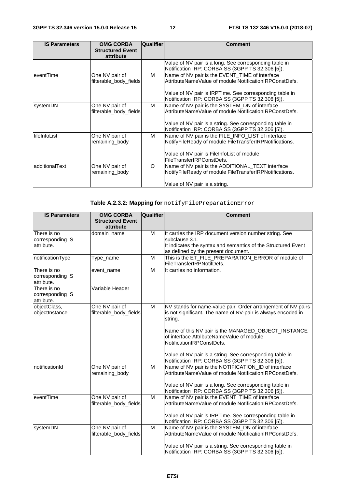| <b>IS Parameters</b> | <b>OMG CORBA</b><br><b>Structured Event</b> | Qualifier | <b>Comment</b>                                           |
|----------------------|---------------------------------------------|-----------|----------------------------------------------------------|
|                      | attribute                                   |           |                                                          |
|                      |                                             |           | Value of NV pair is a long. See corresponding table in   |
|                      |                                             |           | Notification IRP: CORBA SS (3GPP TS 32.306 [5]).         |
| eventTime            | One NV pair of                              | м         | Name of NV pair is the EVENT_TIME of interface           |
|                      | filterable_body_fields                      |           | AttributeNameValue of module NotificationIRPConstDefs.   |
|                      |                                             |           | Value of NV pair is IRPTime. See corresponding table in  |
|                      |                                             |           | Notification IRP: CORBA SS (3GPP TS 32.306 [5]).         |
| systemDN             | One NV pair of                              | м         | Name of NV pair is the SYSTEM_DN of interface            |
|                      | filterable_body_fields                      |           | AttributeNameValue of module NotificationIRPConstDefs.   |
|                      |                                             |           | Value of NV pair is a string. See corresponding table in |
|                      |                                             |           | Notification IRP: CORBA SS (3GPP TS 32.306 [5]).         |
| fileInfoList         | One NV pair of                              | м         | Name of NV pair is the FILE_INFO_LIST of interface       |
|                      | remaining_body                              |           | NotifyFileReady of module FileTransferIRPNotifications.  |
|                      |                                             |           | Value of NV pair is FileInfoList of module               |
|                      |                                             |           | FileTransferIRPConstDefs.                                |
| additionalText       | One NV pair of                              | $\circ$   | Name of NV pair is the ADDITIONAL_TEXT interface         |
|                      | remaining_body                              |           | NotifyFileReady of module FileTransferIRPNotifications.  |
|                      |                                             |           | Value of NV pair is a string.                            |

**Table A.2.3.2: Mapping for** notifyFilePreparationError

| <b>IS Parameters</b>                          | <b>OMG CORBA</b>                         | Qualifier               | <b>Comment</b>                                                                                                                                                                                                                              |
|-----------------------------------------------|------------------------------------------|-------------------------|---------------------------------------------------------------------------------------------------------------------------------------------------------------------------------------------------------------------------------------------|
|                                               | <b>Structured Event</b>                  |                         |                                                                                                                                                                                                                                             |
|                                               | attribute                                |                         |                                                                                                                                                                                                                                             |
| There is no<br>corresponding IS<br>attribute. | domain_name                              | M                       | It carries the IRP document version number string. See<br>subclause 3.1.<br>It indicates the syntax and semantics of the Structured Event<br>as defined by the present document.                                                            |
| notificationType                              | Type_name                                | M                       | This is the ET_FILE_PREPARATION_ERROR of module of<br>FileTransferIRPNotifDefs.                                                                                                                                                             |
| There is no<br>corresponding IS<br>attribute. | event_name                               | M                       | It carries no information.                                                                                                                                                                                                                  |
| There is no<br>corresponding IS<br>attribute. | Variable Header                          |                         |                                                                                                                                                                                                                                             |
| objectClass,<br>objectInstance                | One NV pair of<br>filterable_body_fields | M                       | NV stands for name-value pair. Order arrangement of NV pairs<br>is not significant. The name of NV-pair is always encoded in<br>string.<br>Name of this NV pair is the MANAGED_OBJECT_INSTANCE<br>of interface AttributeNameValue of module |
|                                               |                                          |                         | NotificationIRPConstDefs.<br>Value of NV pair is a string. See corresponding table in<br>Notification IRP: CORBA SS (3GPP TS 32.306 [5]).                                                                                                   |
| notificationId                                | One NV pair of<br>remaining_body         | M                       | Name of NV pair is the NOTIFICATION_ID of interface<br>AttributeNameValue of module NotificationIRPConstDefs.<br>Value of NV pair is a long. See corresponding table in<br>Notification IRP: CORBA SS (3GPP TS 32.306 [5]).                 |
| eventTime                                     | One NV pair of<br>filterable_body_fields | $\overline{\mathsf{M}}$ | Name of NV pair is the EVENT_TIME of interface<br>AttributeNameValue of module NotificationIRPConstDefs.<br>Value of NV pair is IRPTime. See corresponding table in<br>Notification IRP: CORBA SS (3GPP TS 32.306 [5]).                     |
| systemDN                                      | One NV pair of<br>filterable_body_fields | M                       | Name of NV pair is the SYSTEM_DN of interface<br>AttributeNameValue of module NotificationIRPConstDefs.<br>Value of NV pair is a string. See corresponding table in<br>Notification IRP: CORBA SS (3GPP TS 32.306 [5]).                     |

*ETSI*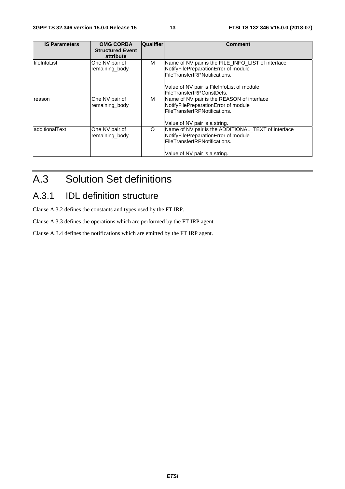| <b>IS Parameters</b> | <b>OMG CORBA</b><br><b>Structured Event</b><br>attribute | <b>Qualifier</b> | <b>Comment</b>                                                                                                                                                                                         |
|----------------------|----------------------------------------------------------|------------------|--------------------------------------------------------------------------------------------------------------------------------------------------------------------------------------------------------|
| fileInfoList         | One NV pair of<br>remaining_body                         | м                | Name of NV pair is the FILE_INFO_LIST of interface<br>NotifyFilePreparationError of module<br>FileTransferIRPNotifications.<br>Value of NV pair is FileInfoList of module<br>FileTransferIRPConstDefs. |
| reason               | One NV pair of<br>remaining body                         | м                | Name of NV pair is the REASON of interface<br>NotifyFilePreparationError of module<br>FileTransferIRPNotifications.<br>Value of NV pair is a string.                                                   |
| ladditionalText      | One NV pair of<br>remaining body                         | $\circ$          | Name of NV pair is the ADDITIONAL_TEXT of interface<br>NotifyFilePreparationError of module<br>FileTransferIRPNotifications.<br>Value of NV pair is a string.                                          |

## A.3 Solution Set definitions

## A.3.1 IDL definition structure

Clause A.3.2 defines the constants and types used by the FT IRP.

Clause A.3.3 defines the operations which are performed by the FT IRP agent.

Clause A.3.4 defines the notifications which are emitted by the FT IRP agent.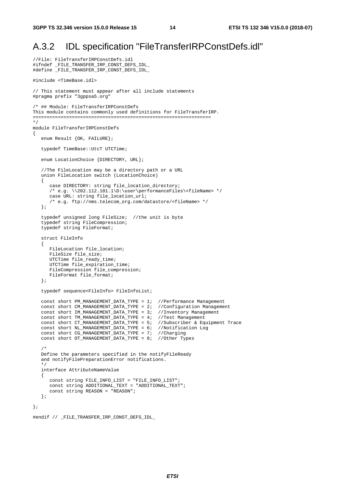//File: FileTransferIRPConstDefs.idl

### A.3.2 IDL specification "FileTransferIRPConstDefs.idl"

```
#ifndef _FILE_TRANSFER_IRP_CONST_DEFS_IDL_ 
#define _FILE_TRANSFER_IRP_CONST_DEFS_IDL_ 
#include <TimeBase.idl> 
// This statement must appear after all include statements 
#pragma prefix "3gppsa5.org" 
/* ## Module: FileTransferIRPConstDefs 
This module contains commonly used definitions for FileTransferIRP. 
================================================================ 
*/ 
module FileTransferIRPConstDefs 
{ 
    enum Result {OK, FAILURE}; 
   typedef TimeBase::UtcT UTCTime; 
    enum LocationChoice {DIRECTORY, URL}; 
    //The FileLocation may be a directory path or a URL 
    union FileLocation switch (LocationChoice) 
    { 
       case DIRECTORY: string file_location_directory; 
      /* e.g. \backslash202.112.101.1\D:\user\performanceFiles\<fileName> */
       case URL: string file_location_url; 
       /* e.g. ftp://nms.telecom_org.com/datastore/<fileName> */ 
    }; 
    typedef unsigned long FileSize; //the unit is byte 
    typedef string FileCompression; 
    typedef string FileFormat; 
    struct FileInfo 
    { 
       FileLocation file_location; 
       FileSize file_size; 
      UTCTime file ready time;
       UTCTime file_expiration_time; 
       FileCompression file_compression; 
       FileFormat file_format; 
    }; 
    typedef sequence<FileInfo> FileInfoList; 
    const short PM_MANAGEMENT_DATA_TYPE = 1; //Performance Management 
 const short CM_MANAGEMENT_DATA_TYPE = 2; //Configuration Management 
 const short IM_MANAGEMENT_DATA_TYPE = 3; //Inventory Management 
 const short TM_MANAGEMENT_DATA_TYPE = 4; //Test Management 
 const short CT_MANAGEMENT_DATA_TYPE = 5; //Subscriber & Equipment Trace 
 const short NL_MANAGEMENT_DATA_TYPE = 6; //Notification Log 
 const short CG_MANAGEMENT_DATA_TYPE = 7; //Charging 
 const short OT_MANAGEMENT_DATA_TYPE = 8; //Other Types 
/ *
   Define the parameters specified in the notifyFileReady 
    and notifyFilePreparationError notifications. 
    */ 
    interface AttributeNameValue 
    { 
       const string FILE_INFO_LIST = "FILE_INFO_LIST"; 
       const string ADDITIONAL_TEXT = "ADDITIONAL_TEXT"; 
       const string REASON = "REASON"; 
    }; 
};
```

```
#endif // FILE TRANSFER IRP CONST DEFS IDL
```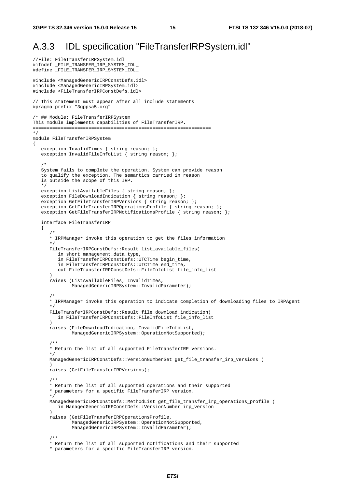{

### A.3.3 IDL specification "FileTransferIRPSystem.idl"

```
//File: FileTransferIRPSystem.idl 
#ifndef _FILE_TRANSFER_IRP_SYSTEM_IDL_ 
#define _FILE_TRANSFER_IRP_SYSTEM_IDL_ 
#include <ManagedGenericIRPConstDefs.idl> 
#include <ManagedGenericIRPSystem.idl> 
#include <FileTransferIRPConstDefs.idl> 
// This statement must appear after all include statements 
#pragma prefix "3gppsa5.org" 
/* ## Module: FileTransferIRPSystem 
This module implements capabilities of FileTransferIRP. 
================================================================ 
*/ 
module FileTransferIRPSystem 
   exception InvalidTimes { string reason; };
   exception InvalidFileInfoList { string reason; };
/ *
   System fails to complete the operation. System can provide reason 
    to qualify the exception. The semantics carried in reason 
    is outside the scope of this IRP. 
    */ 
   exception ListAvailableFiles { string reason; };
   exception FileDownloadIndication { string reason; };
    exception GetFileTransferIRPVersions { string reason; }; 
   exception GetFileTransferIRPOperationsProfile { string reason; };
   exception GetFileTransferIRPNotificationsProfile { string reason; };
    interface FileTransferIRP 
    { 
 /* 
       * IRPManager invoke this operation to get the files information 
 */ 
       FileTransferIRPConstDefs::Result list_available_files( 
          in short management_data_type, 
          in FileTransferIRPConstDefs::UTCTime begin_time, 
          in FileTransferIRPConstDefs::UTCTime end_time, 
          out FileTransferIRPConstDefs::FileInfoList file_info_list 
\overline{\phantom{a}} raises (ListAvailableFiles, InvalidTimes, 
               ManagedGenericIRPSystem::InvalidParameter); 
 /* 
       * IRPManager invoke this operation to indicate completion of downloading files to IRPAgent 
       */ 
       FileTransferIRPConstDefs::Result file_download_indication( 
          in FileTransferIRPConstDefs::FileInfoList file_info_list 
 ) 
       raises (FileDownloadIndication, InvalidFileInfoList, 
               ManagedGenericIRPSystem::OperationNotSupported); 
       /** 
       * Return the list of all supported FileTransferIRP versions. 
       */ 
       ManagedGenericIRPConstDefs::VersionNumberSet get_file_transfer_irp_versions ( 
 ) 
       raises (GetFileTransferIRPVersions); 
       /** 
       * Return the list of all supported operations and their supported 
       * parameters for a specific FileTransferIRP version. 
       */ 
       ManagedGenericIRPConstDefs::MethodList get_file_transfer_irp_operations_profile ( 
          in ManagedGenericIRPConstDefs::VersionNumber irp_version 
\overline{\phantom{a}} raises (GetFileTransferIRPOperationsProfile, 
               ManagedGenericIRPSystem::OperationNotSupported, 
               ManagedGenericIRPSystem::InvalidParameter); 
       /** 
       * Return the list of all supported notifications and their supported 
       * parameters for a specific FileTransferIRP version.
```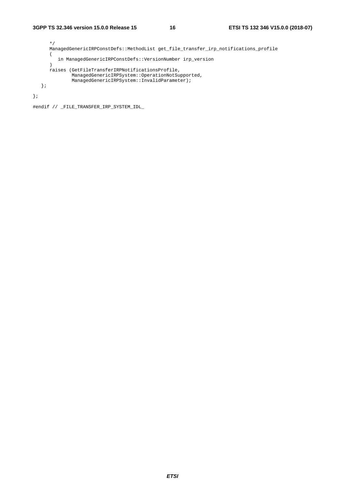```
 */ 
       ManagedGenericIRPConstDefs::MethodList get_file_transfer_irp_notifications_profile 
      \overline{(\ } in ManagedGenericIRPConstDefs::VersionNumber irp_version 
       ) 
       raises (GetFileTransferIRPNotificationsProfile, 
                ManagedGenericIRPSystem::OperationNotSupported, 
                ManagedGenericIRPSystem::InvalidParameter); 
    }; 
};
```
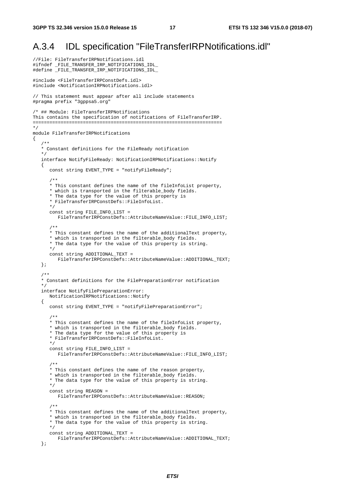### A.3.4 IDL specification "FileTransferIRPNotifications.idl"

```
//File: FileTransferIRPNotifications.idl 
#ifndef _FILE_TRANSFER_IRP_NOTIFICATIONS_IDL_ 
#define _FILE_TRANSFER_IRP_NOTIFICATIONS_IDL_ 
#include <FileTransferIRPConstDefs.idl> 
#include <NotificationIRPNotifications.idl> 
// This statement must appear after all include statements 
#pragma prefix "3gppsa5.org" 
/* ## Module: FileTransferIRPNotifications 
This contains the specification of notifications of FileTransferIRP. 
==================================================================== 
*/ 
module FileTransferIRPNotifications 
{ 
 /** 
    * Constant definitions for the FileReady notification 
    */ 
    interface NotifyFileReady: NotificationIRPNotifications::Notify 
    { 
      const string EVENT TYPE = "notifyFileReady";
       /** 
       * This constant defines the name of the fileInfoList property, 
       * which is transported in the filterable_body fields. 
       * The data type for the value of this property is 
       * FileTransferIRPConstDefs::FileInfoList. 
       */ 
       const string FILE_INFO_LIST = 
          FileTransferIRPConstDefs::AttributeNameValue::FILE_INFO_LIST; 
       /** 
       * This constant defines the name of the additionalText property, 
       * which is transported in the filterable_body fields. 
       * The data type for the value of this property is string. 
       */ 
       const string ADDITIONAL_TEXT = 
          FileTransferIRPConstDefs::AttributeNameValue::ADDITIONAL_TEXT; 
    }; 
    /** 
    * Constant definitions for the FilePreparationError notification 
    */ 
    interface NotifyFilePreparationError: 
       NotificationIRPNotifications::Notify 
    { 
       const string EVENT_TYPE = "notifyFilePreparationError"; 
       /** 
       * This constant defines the name of the fileInfoList property, 
       * which is transported in the filterable_body fields. 
       * The data type for the value of this property is 
       * FileTransferIRPConstDefs::FileInfoList. 
       */ 
       const string FILE_INFO_LIST = 
          FileTransferIRPConstDefs::AttributeNameValue::FILE_INFO_LIST; 
       /** 
       * This constant defines the name of the reason property, 
       * which is transported in the filterable_body fields. 
       * The data type for the value of this property is string. 
       */ 
       const string REASON = 
          FileTransferIRPConstDefs::AttributeNameValue::REASON; 
       /** 
       * This constant defines the name of the additionalText property, 
       * which is transported in the filterable_body fields. 
       * The data type for the value of this property is string. 
       */ 
       const string ADDITIONAL_TEXT = 
          FileTransferIRPConstDefs::AttributeNameValue::ADDITIONAL_TEXT; 
    };
```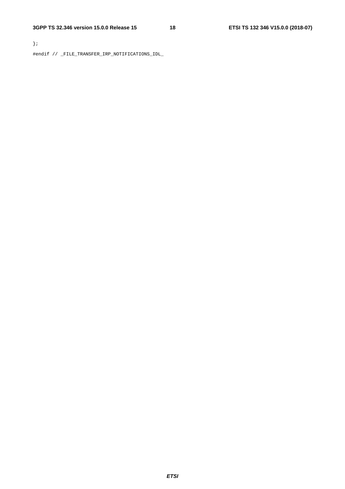};

#endif // \_FILE\_TRANSFER\_IRP\_NOTIFICATIONS\_IDL\_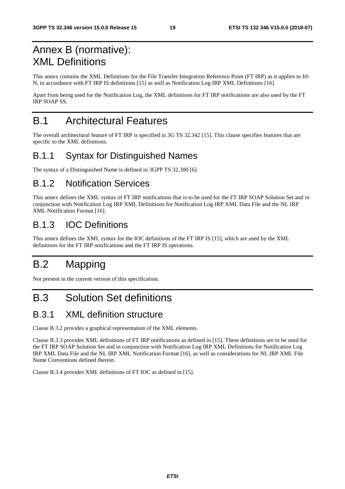## Annex B (normative): XML Definitions

This annex contains the XML Definitions for the File Transfer Integration Reference Point (FT IRP) as it applies to Itf-N, in accordance with FT IRP IS definitions [15] as well as Notification Log IRP XML Definitions [16].

Apart from being used for the Notification Log, the XML definitions for FT IRP notifications are also used by the FT IRP SOAP SS.

## B.1 Architectural Features

The overall architectural feature of FT IRP is specified in 3G TS 32.342 [15]. This clause specifies features that are specific to the XML definitions.

## B.1.1 Syntax for Distinguished Names

The syntax of a Distinguished Name is defined in 3GPP TS 32.300 [6].

### B.1.2 Notification Services

This annex defines the XML syntax of FT IRP notifications that is to be used for the FT IRP SOAP Solution Set and in conjunction with Notification Log IRP XML Definitions for Notification Log IRP XML Data File and the NL IRP XML Notification Format [16].

## B.1.3 IOC Definitions

This annex defines the XML syntax for the IOC definitions of the FT IRP IS [15], which are used by the XML definitions for the FT IRP notifications and the FT IRP IS operations.

## B.2 Mapping

Not present in the current version of this specification.

## B.3 Solution Set definitions

### B.3.1 XML definition structure

Clause B.3.2 provides a graphical representation of the XML elements.

Clause B.3.3 provides XML definitions of FT IRP notifications as defined in [15]. These definitions are to be used for the FT IRP SOAP Solution Set and in conjunction with Notification Log IRP XML Definitions for Notification Log IRP XML Data File and the NL IRP XML Notification Format [16], as well as considerations for NL IRP XML File Name Conventions defined therein.

Clause B.3.4 provides XML definitions of FT IOC as defined in [15].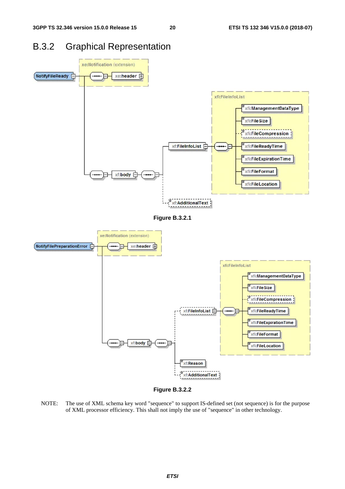### B.3.2 Graphical Representation



**Figure B.3.2.1** 





NOTE: The use of XML schema key word "sequence" to support IS-defined set (not sequence) is for the purpose of XML processor efficiency. This shall not imply the use of "sequence" in other technology.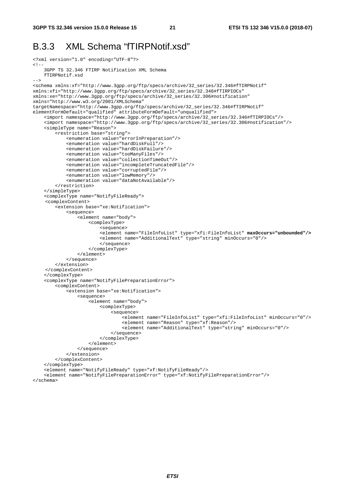### B.3.3 XML Schema "fTIRPNotif.xsd"

```
<?xml version="1.0" encoding="UTF-8"?> 
\leq ! - 3GPP TS 32.346 FTIRP Notification XML Schema 
     fTIRPNotif.xsd 
--&><schema xmlns:xf="http://www.3gpp.org/ftp/specs/archive/32_series/32.346#fTIRPNotif" 
xmlns:xfi="http://www.3gpp.org/ftp/specs/archive/32_series/32.346#fTIRPIOCs" 
xmlns:xe="http://www.3gpp.org/ftp/specs/archive/32_series/32.306#notification" 
xmlns="http://www.w3.org/2001/XMLSchema" 
targetNamespace="http://www.3gpp.org/ftp/specs/archive/32_series/32.346#fTIRPNotif" 
elementFormDefault="qualified" attributeFormDefault="unqualified"> 
     <import namespace="http://www.3gpp.org/ftp/specs/archive/32_series/32.346#fTIRPIOCs"/> 
     <import namespace="http://www.3gpp.org/ftp/specs/archive/32_series/32.306#notification"/> 
     <simpleType name="Reason"> 
         <restriction base="string"> 
             <enumeration value="errorInPreparation"/> 
             <enumeration value="hardDiskFull"/> 
              <enumeration value="hardDiskFailure"/> 
              <enumeration value="tooManyFiles"/> 
             <enumeration value="collectionTimeOut"/> 
             <enumeration value="incompleteTruncatedFile"/> 
             <enumeration value="corruptedFile"/> 
             <enumeration value="lowMemory"/> 
             <enumeration value="dataNotAvailable"/> 
         </restriction> 
     </simpleType> 
     <complexType name="NotifyFileReady"> 
     <complexContent> 
         <extension base="xe:Notification"> 
             <sequence> 
                  <element name="body"> 
                      <complexType> 
                          <sequence> 
                           <element name="FileInfoList" type="xfi:FileInfoList" maxOccurs="unbounded"/>
                          <element name="AdditionalText" type="string" minOccurs="0"/> 
                           </sequence> 
                      </complexType> 
                  </element> 
             </sequence> 
         </extension> 
     </complexContent> 
     </complexType> 
     <complexType name="NotifyFilePreparationError"> 
         <complexContent> 
              <extension base="xe:Notification"> 
                  <sequence> 
                      <element name="body"> 
                          <complexType> 
                               <sequence> 
                                   <element name="FileInfoList" type="xfi:FileInfoList" minOccurs="0"/> 
                                   <element name="Reason" type="xf:Reason"/> 
                                   <element name="AdditionalText" type="string" minOccurs="0"/> 
                               </sequence> 
                           </complexType> 
                      </element> 
                  </sequence> 
             </extension> 
         </complexContent> 
     </complexType> 
     <element name="NotifyFileReady" type="xf:NotifyFileReady"/> 
     <element name="NotifyFilePreparationError" type="xf:NotifyFilePreparationError"/> 
</schema>
```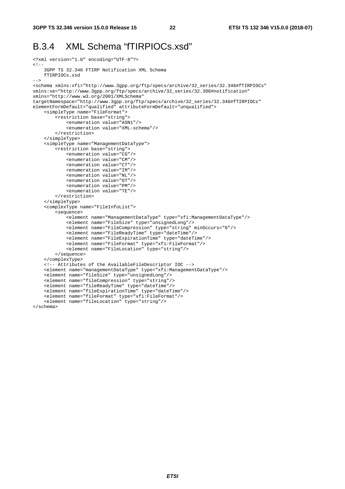### B.3.4 XML Schema "fTIRPIOCs.xsd"

```
<?xml version="1.0" encoding="UTF-8"?> 
\lt ! - 3GPP TS 32.346 FTIRP Notification XML Schema 
     fTIRPIOCs.xsd 
--&><schema xmlns:xfi="http://www.3gpp.org/ftp/specs/archive/32_series/32.346#fTIRPIOCs" 
xmlns:xe="http://www.3gpp.org/ftp/specs/archive/32_series/32.306#notification" 
xmlns="http://www.w3.org/2001/XMLSchema" 
targetNamespace="http://www.3gpp.org/ftp/specs/archive/32_series/32.346#fTIRPIOCs" 
elementFormDefault="qualified" attributeFormDefault="unqualified"> 
     <simpleType name="FileFormat"> 
         <restriction base="string"> 
             <enumeration value="ASN1"/> 
             <enumeration value="XML-schema"/> 
         </restriction> 
     </simpleType> 
     <simpleType name="ManagementDataType"> 
         <restriction base="string"> 
             <enumeration value="CG"/> 
              <enumeration value="CM"/> 
             <enumeration value="CT"/> 
             <enumeration value="IM"/> 
             <enumeration value="NL"/> 
             <enumeration value="OT"/> 
             <enumeration value="PM"/> 
             <enumeration value="TE"/> 
         </restriction> 
     </simpleType> 
     <complexType name="FileInfoList"> 
         <sequence> 
              <element name="ManagementDataType" type="xfi:ManagementDataType"/> 
              <element name="FileSize" type="unsignedLong"/> 
              <element name="FileCompression" type="string" minOccurs="0"/> 
             <element name="FileReadyTime" type="dateTime"/> 
             <element name="FileExpirationTime" type="dateTime"/> 
             <element name="FileFormat" type="xfi:FileFormat"/> 
             <element name="FileLocation" type="string"/> 
         </sequence> 
     </complexType> 
    \leq l -- Attributes of the AvailableFileDescriptor IOC -->
     <element name="managementDataType" type="xfi:ManagementDataType"/> 
     <element name="fileSize" type="unsignedLong"/> 
     <element name="fileCompression" type="string"/> 
     <element name="fileReadyTime" type="dateTime"/> 
     <element name="fileExpirationTime" type="dateTime"/> 
     <element name="fileFormat" type="xfi:FileFormat"/> 
     <element name="fileLocation" type="string"/>
```
</schema>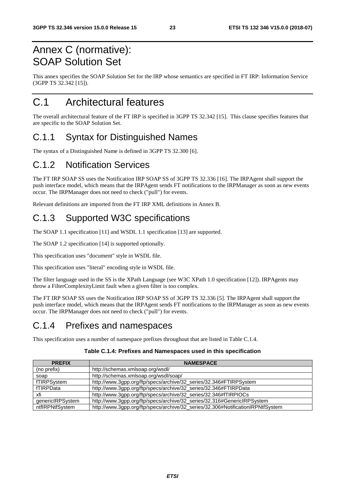## Annex C (normative): SOAP Solution Set

This annex specifies the SOAP Solution Set for the IRP whose semantics are specified in FT IRP: Information Service (3GPP TS 32.342 [15]).

## C.1 Architectural features

The overall architectural feature of the FT IRP is specified in 3GPP TS 32.342 [15]. This clause specifies features that are specific to the SOAP Solution Set.

## C.1.1 Syntax for Distinguished Names

The syntax of a Distinguished Name is defined in 3GPP TS 32.300 [6].

### C.1.2 Notification Services

The FT IRP SOAP SS uses the Notification IRP SOAP SS of 3GPP TS 32.336 [16]. The IRPAgent shall support the push interface model, which means that the IRPAgent sends FT notifications to the IRPManager as soon as new events occur. The IRPManager does not need to check ("pull") for events.

Relevant definitions are imported from the FT IRP XML definitions in Annex B.

## C.1.3 Supported W3C specifications

The SOAP 1.1 specification [11] and WSDL 1.1 specification [13] are supported.

The SOAP 1.2 specification [14] is supported optionally.

This specification uses "document" style in WSDL file.

This specification uses "literal" encoding style in WSDL file.

The filter language used in the SS is the XPath Language (see W3C XPath 1.0 specification [12]). IRPAgents may throw a FilterComplexityLimit fault when a given filter is too complex.

The FT IRP SOAP SS uses the Notification IRP SOAP SS of 3GPP TS 32.336 [5]. The IRPAgent shall support the push interface model, which means that the IRPAgent sends FT notifications to the IRPManager as soon as new events occur. The IRPManager does not need to check ("pull") for events.

### C.1.4 Prefixes and namespaces

This specification uses a number of namespace prefixes throughout that are listed in Table C.1.4.

#### **Table C.1.4: Prefixes and Namespaces used in this specification**

| <b>PREFIX</b>    | <b>NAMESPACE</b>                                                                |
|------------------|---------------------------------------------------------------------------------|
| (no prefix)      | http://schemas.xmlsoap.org/wsdl/                                                |
| soap             | http://schemas.xmlsoap.org/wsdl/soap/                                           |
| fTIRPSystem      | http://www.3gpp.org/ftp/specs/archive/32_series/32.346#FTIRPSystem              |
| fTIRPData        | http://www.3gpp.org/ftp/specs/archive/32_series/32.346#FTIRPData                |
| xfi              | http://www.3gpp.org/ftp/specs/archive/32_series/32.346#fTIRPIOCs                |
| genericIRPSystem | http://www.3gpp.org/ftp/specs/archive/32_series/32.316#GenericlRPSystem         |
| ntflRPNtfSystem  | http://www.3gpp.org/ftp/specs/archive/32_series/32.306#NotificationIRPNtfSystem |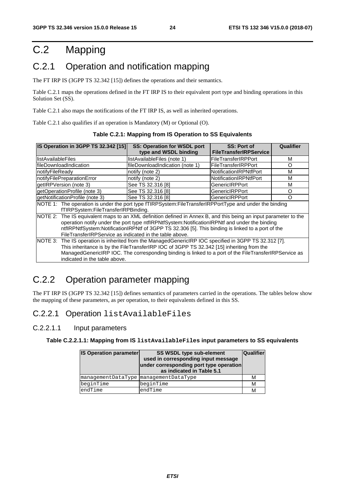## C.2 Mapping

## C.2.1 Operation and notification mapping

The FT IRP IS (3GPP TS 32.342 [15]) defines the operations and their semantics.

Table C.2.1 maps the operations defined in the FT IRP IS to their equivalent port type and binding operations in this Solution Set (SS).

Table C.2.1 also maps the notifications of the FT IRP IS, as well as inherited operations.

Table C.2.1 also qualifies if an operation is Mandatory (M) or Optional (O).

| IS Operation in 3GPP TS 32.342 [15]                                                                              | <b>SS: Operation for WSDL port</b>                                                                    | <b>SS: Port of</b>            | Qualifier |  |  |  |  |  |
|------------------------------------------------------------------------------------------------------------------|-------------------------------------------------------------------------------------------------------|-------------------------------|-----------|--|--|--|--|--|
|                                                                                                                  | type and WSDL binding                                                                                 | <b>FileTransferIRPService</b> |           |  |  |  |  |  |
| llistAvailableFiles                                                                                              | listAvailableFiles (note 1)                                                                           | FileTransferIRPPort           | М         |  |  |  |  |  |
| lfileDownloadIndication                                                                                          | fileDownloadIndication (note 1)                                                                       | <b>FileTransferIRPPort</b>    | Ω         |  |  |  |  |  |
| notifyFileReady                                                                                                  | notify (note 2)                                                                                       | NotificationIRPNtfPort        | М         |  |  |  |  |  |
| notifyFilePreparationError                                                                                       | notify (note 2)                                                                                       | NotificationIRPNtfPort        | M         |  |  |  |  |  |
| getIRPVersion (note 3)                                                                                           | See TS 32.316 [8]                                                                                     | <b>GenericIRPPort</b>         | М         |  |  |  |  |  |
| getOperationProfile (note 3)                                                                                     | See TS 32.316 [8]                                                                                     | <b>GenericIRPPort</b>         | O         |  |  |  |  |  |
| getNotificationProfile (note 3)                                                                                  | See TS 32.316 [8]                                                                                     | O                             |           |  |  |  |  |  |
| NOTE 1: The operation is under the port type fTIRPSystem:FileTransferIRPPortType and under the binding           |                                                                                                       |                               |           |  |  |  |  |  |
| fTIRPSystem:FileTransferIRPBinding.                                                                              |                                                                                                       |                               |           |  |  |  |  |  |
| NOTE 2: The IS equivalent maps to an XML definition defined in Annex B, and this being an input parameter to the |                                                                                                       |                               |           |  |  |  |  |  |
|                                                                                                                  | operation notify under the port type ntflRPNtfSystem:NotificationIRPNtf and under the binding         |                               |           |  |  |  |  |  |
|                                                                                                                  | ntflRPNtfSystem:NotificationIRPNtf of 3GPP TS 32.306 [5]. This binding is linked to a port of the     |                               |           |  |  |  |  |  |
|                                                                                                                  | FileTransferIRPService as indicated in the table above.                                               |                               |           |  |  |  |  |  |
| NOTE 3: The IS operation is inherited from the ManagedGenericIRP IOC specified in 3GPP TS 32.312 [7].            |                                                                                                       |                               |           |  |  |  |  |  |
|                                                                                                                  | This inheritance is by the FileTransferIRP IOC of 3GPP TS 32.342 [15] inheriting from the             |                               |           |  |  |  |  |  |
|                                                                                                                  | ManagedGenericIRP IOC. The corresponding binding is linked to a port of the FileTransferIRPService as |                               |           |  |  |  |  |  |
| indicated in the table above.                                                                                    |                                                                                                       |                               |           |  |  |  |  |  |

## C.2.2 Operation parameter mapping

The FT IRP IS (3GPP TS 32.342 [15]) defines semantics of parameters carried in the operations. The tables below show the mapping of these parameters, as per operation, to their equivalents defined in this SS.

#### C.2.2.1 Operation listAvailableFiles

#### C.2.2.1.1 Input parameters

#### **Table C.2.2.1.1: Mapping from IS listAvailableFiles input parameters to SS equivalents**

| <b>IS Operation parameter</b>         | SS WSDL type sub-element<br>used in corresponding input message<br>under corresponding port type operation<br>as indicated in Table 5.1 | <b>Qualifier</b> |
|---------------------------------------|-----------------------------------------------------------------------------------------------------------------------------------------|------------------|
| managementDataType managementDataType |                                                                                                                                         | М                |
| beginTime                             | beginTime                                                                                                                               | M                |
| endTime                               | endTime                                                                                                                                 | м                |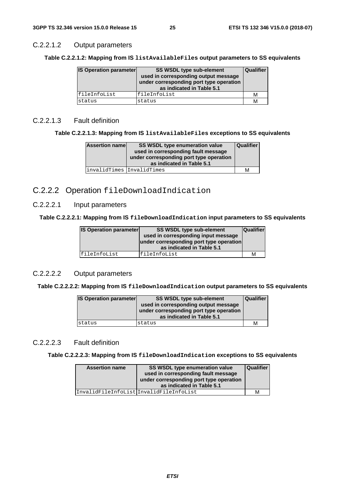#### C.2.2.1.2 Output parameters

**Table C.2.2.1.2: Mapping from IS listAvailableFiles output parameters to SS equivalents** 

| <b>IS Operation parameter</b> | <b>SS WSDL type sub-element</b><br>used in corresponding output message<br>under corresponding port type operation<br>as indicated in Table 5.1 | Qualifier |
|-------------------------------|-------------------------------------------------------------------------------------------------------------------------------------------------|-----------|
| fileInfoList                  | fileInfoList                                                                                                                                    | м         |
| status                        | status                                                                                                                                          | M         |

#### C.2.2.1.3 Fault definition

**Table C.2.2.1.3: Mapping from IS listAvailableFiles exceptions to SS equivalents** 

| <b>Assertion namel</b>    | SS WSDL type enumeration value<br>used in corresponding fault message<br>under corresponding port type operation<br>as indicated in Table 5.1 | <b>Qualifier</b> |
|---------------------------|-----------------------------------------------------------------------------------------------------------------------------------------------|------------------|
| invalidTimes InvalidTimes |                                                                                                                                               | м                |

#### C.2.2.2 Operation fileDownloadIndication

C.2.2.2.1 Input parameters

**Table C.2.2.2.1: Mapping from IS fileDownloadIndication input parameters to SS equivalents** 

| <b>IS Operation parameter</b> | <b>SS WSDL type sub-element</b><br>used in corresponding input message<br>under corresponding port type operation<br>as indicated in Table 5.1 | <b>Qualifier</b> |
|-------------------------------|------------------------------------------------------------------------------------------------------------------------------------------------|------------------|
| lfileInfoList                 | fileInfoList                                                                                                                                   | М                |

#### C.2.2.2.2 Output parameters

**Table C.2.2.2.2: Mapping from IS fileDownloadIndication output parameters to SS equivalents** 

| <b>IS Operation parameter</b> | <b>SS WSDL type sub-element</b><br>used in corresponding output message<br>under corresponding port type operation<br>as indicated in Table 5.1 | <b>Qualifier</b> |
|-------------------------------|-------------------------------------------------------------------------------------------------------------------------------------------------|------------------|
| status                        | status                                                                                                                                          | М                |

#### C.2.2.2.3 Fault definition

**Table C.2.2.2.3: Mapping from IS fileDownloadIndication exceptions to SS equivalents** 

| <b>Assertion name</b>                  | <b>SS WSDL type enumeration value</b><br>used in corresponding fault message<br>under corresponding port type operation<br>as indicated in Table 5.1 | <b>Qualifier</b> |
|----------------------------------------|------------------------------------------------------------------------------------------------------------------------------------------------------|------------------|
| InvalidFileInfoListInvalidFileInfoList |                                                                                                                                                      | м                |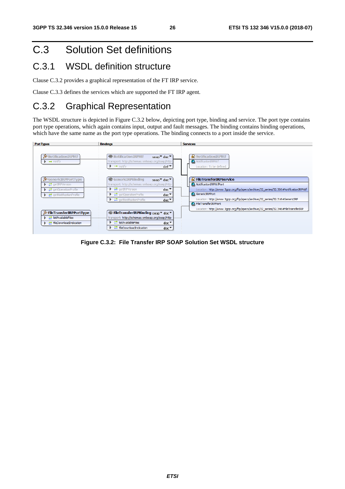## C.3 Solution Set definitions

### C.3.1 WSDL definition structure

Clause C.3.2 provides a graphical representation of the FT IRP service.

Clause C.3.3 defines the services which are supported the FT IRP agent.

## C.3.2 Graphical Representation

The WSDL structure is depicted in Figure C.3.2 below, depicting port type, binding and service. The port type contains port type operations, which again contains input, output and fault messages. The binding contains binding operations, which have the same name as the port type operations. The binding connects to a port inside the service.



**Figure C.3.2: File Transfer IRP SOAP Solution Set WSDL structure**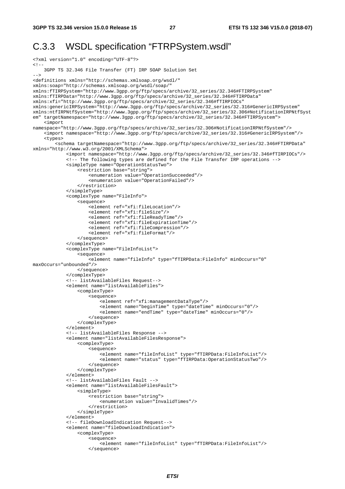### C.3.3 WSDL specification "FTRPSystem.wsdl"

```
<?xml version="1.0" encoding="UTF-8"?> 
\lt ! -
     3GPP TS 32.346 File Transfer (FT) IRP SOAP Solution Set 
--> 
<definitions xmlns="http://schemas.xmlsoap.org/wsdl/" 
xmlns:soap="http://schemas.xmlsoap.org/wsdl/soap/" 
xmlns:fTIRPSystem="http://www.3gpp.org/ftp/specs/archive/32_series/32.346#FTIRPSystem" 
xmlns:fTIRPData="http://www.3gpp.org/ftp/specs/archive/32_series/32.346#FTIRPData" 
xmlns:xfi="http://www.3gpp.org/ftp/specs/archive/32_series/32.346#fTIRPIOCs" 
xmlns:genericIRPSystem="http://www.3gpp.org/ftp/specs/archive/32_series/32.316#GenericIRPSystem" 
xmlns:ntfIRPNtfSystem="http://www.3gpp.org/ftp/specs/archive/32_series/32.306#NotificationIRPNtfSyst
em" targetNamespace="http://www.3gpp.org/ftp/specs/archive/32_series/32.346#FTIRPSystem"> 
     <import 
namespace="http://www.3gpp.org/ftp/specs/archive/32_series/32.306#NotificationIRPNtfSystem"/> 
     <import namespace="http://www.3gpp.org/ftp/specs/archive/32_series/32.316#GenericIRPSystem"/> 
     <types> 
         <schema targetNamespace="http://www.3gpp.org/ftp/specs/archive/32_series/32.346#FTIRPData" 
xmlns="http://www.w3.org/2001/XMLSchema"> 
              <import namespace="http://www.3gpp.org/ftp/specs/archive/32_series/32.346#fTIRPIOCs"/> 
              <!-- The following types are defined for the File Transfer IRP operations --> 
             <simpleType name="OperationStatusTwo"> 
                  <restriction base="string"> 
                      <enumeration value="OperationSucceeded"/> 
                      <enumeration value="OperationFailed"/> 
                  </restriction> 
              </simpleType> 
              <complexType name="FileInfo"> 
                  <sequence> 
                      <element ref="xfi:fileLocation"/> 
                      <element ref="xfi:fileSize"/> 
                      <element ref="xfi:fileReadyTime"/> 
                      <element ref="xfi:fileExpirationTime"/> 
                      <element ref="xfi:fileCompression"/> 
                      <element ref="xfi:fileFormat"/> 
                  </sequence> 
              </complexType> 
              <complexType name="FileInfoList"> 
                  <sequence> 
                     -<br>-<element name="fileInfo" type="fTIRPData:FileInfo" minOccurs="0"
maxOccurs="unbounded"/> 
                  </sequence> 
             </complexType> 
             <!-- listAvailableFiles Request--> 
             <element name="listAvailableFiles"> 
                  <complexType> 
                      <sequence> 
                          <element ref="xfi:managementDataType"/> 
                          <element name="beginTime" type="dateTime" minOccurs="0"/> 
                          <element name="endTime" type="dateTime" minOccurs="0"/> 
                      </sequence> 
                  </complexType> 
             </element> 
             <!-- listAvailableFiles Response --> 
              <element name="listAvailableFilesResponse"> 
                  <complexType> 
                      <sequence> 
                         .<br><element name="fileInfoList" type="fTIRPData:FileInfoList"/>
                          <element name="status" type="fTIRPData:OperationStatusTwo"/> 
                      </sequence> 
                  </complexType> 
              </element> 
              <!-- listAvailableFiles Fault --> 
             <element name="listAvailableFilesFault"> 
                  <simpleType> 
                     -<br><restriction base="string">
                          <enumeration value="InvalidTimes"/> 
                      </restriction> 
                  </simpleType> 
              </element> 
              <!-- fileDownloadIndication Request--> 
             <element name="fileDownloadIndication"> 
                  <complexType> 
                      <sequence> 
                          <element name="fileInfoList" type="fTIRPData:FileInfoList"/> 
                      </sequence>
```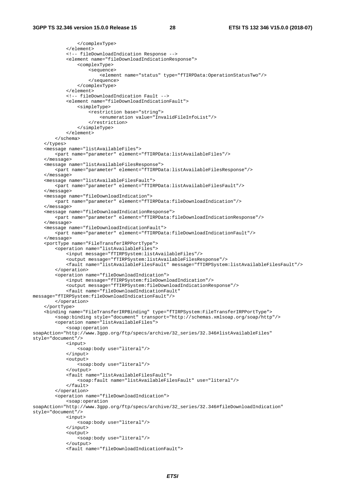```
 </complexType> 
             </element> 
              <!-- fileDownloadIndication Response --> 
             <element name="fileDownloadIndicationResponse"> 
                  <complexType> 
                      <sequence> 
                           <element name="status" type="fTIRPData:OperationStatusTwo"/> 
                      </sequence> 
                  </complexType> 
              </element> 
              <!-- fileDownloadIndication Fault --> 
             <element name="fileDownloadIndicationFault"> 
                  <simpleType> 
                      <restriction base="string"> 
                          <enumeration value="InvalidFileInfoList"/> 
                      </restriction> 
                  </simpleType> 
              </element> 
         </schema> 
     </types> 
     <message name="listAvailableFiles"> 
         <part name="parameter" element="fTIRPData:listAvailableFiles"/> 
     </message> 
     <message name="listAvailableFilesResponse"> 
         <part name="parameter" element="fTIRPData:listAvailableFilesResponse"/> 
     </message> 
     <message name="listAvailableFilesFault"> 
         <part name="parameter" element="fTIRPData:listAvailableFilesFault"/> 
     </message> 
     <message name="fileDownloadIndication"> 
         <part name="parameter" element="fTIRPData:fileDownloadIndication"/> 
     </message> 
     <message name="fileDownloadIndicationResponse"> 
         <part name="parameter" element="fTIRPData:fileDownloadIndicationResponse"/> 
     </message> 
     <message name="fileDownloadIndicationFault"> 
         <part name="parameter" element="fTIRPData:fileDownloadIndicationFault"/> 
     </message> 
     <portType name="FileTransferIRPPortType"> 
         <operation name="listAvailableFiles"> 
             <input message="fTIRPSystem:listAvailableFiles"/> 
             <output message="fTIRPSystem:listAvailableFilesResponse"/> 
             <fault name="listAvailableFilesFault" message="fTIRPSystem:listAvailableFilesFault"/> 
         </operation> 
         <operation name="fileDownloadIndication"> 
             <input message="fTIRPSystem:fileDownloadIndication"/> 
             <output message="fTIRPSystem:fileDownloadIndicationResponse"/> 
             <fault name="fileDownloadIndicationFault" 
message="fTIRPSystem:fileDownloadIndicationFault"/> 
         </operation> 
     </portType> 
     <binding name="FileTransferIRPBinding" type="fTIRPSystem:FileTransferIRPPortType"> 
         <soap:binding style="document" transport="http://schemas.xmlsoap.org/soap/http"/> 
         <operation name="listAvailableFiles"> 
             <soap:operation 
soapAction="http://www.3gpp.org/ftp/specs/archive/32_series/32.346#listAvailableFiles" 
style="document"/> 
             <input> 
                  <soap:body use="literal"/> 
             </input> 
             <output> 
                  <soap:body use="literal"/> 
              </output> 
             <fault name="listAvailableFilesFault"> 
                  <soap:fault name="listAvailableFilesFault" use="literal"/> 
             </fault> 
          </operation> 
         <operation name="fileDownloadIndication"> 
              <soap:operation 
soapAction="http://www.3gpp.org/ftp/specs/archive/32_series/32.346#fileDownloadIndication" 
style="document"/> 
             <input> 
                  <soap:body use="literal"/> 
             </input> 
              <output> 
                  <soap:body use="literal"/> 
              </output> 
             <fault name="fileDownloadIndicationFault">
```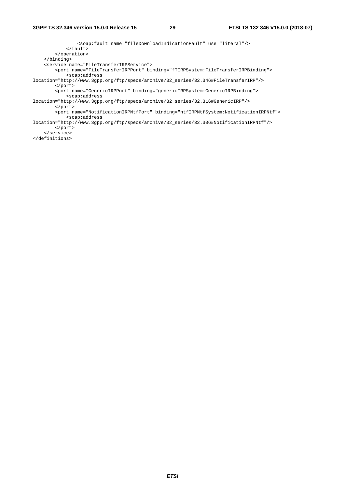<soap:fault name="fileDownloadIndicationFault" use="literal"/> </fault> </operation> </binding> <service name="FileTransferIRPService"> <port name="FileTransferIRPPort" binding="fTIRPSystem:FileTransferIRPBinding"> <soap:address location="http://www.3gpp.org/ftp/specs/archive/32\_series/32.346#FileTransferIRP"/> </port> <port name="GenericIRPPort" binding="genericIRPSystem:GenericIRPBinding"> <soap:address location="http://www.3gpp.org/ftp/specs/archive/32\_series/32.316#GenericIRP"/> </port> <port name="NotificationIRPNtfPort" binding="ntfIRPNtfSystem:NotificationIRPNtf"> <soap:address location="http://www.3gpp.org/ftp/specs/archive/32\_series/32.306#NotificationIRPNtf"/> </port> </service> </definitions>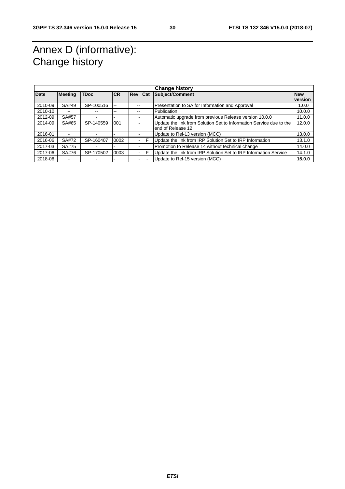## Annex D (informative): Change history

| <b>Change history</b> |                |             |            |            |     |                                                                     |            |
|-----------------------|----------------|-------------|------------|------------|-----|---------------------------------------------------------------------|------------|
| <b>Date</b>           | <b>Meeting</b> | <b>TDoc</b> | <b>ICR</b> | <b>Rev</b> | Cat | <b>Subject/Comment</b>                                              | <b>New</b> |
|                       |                |             |            |            |     |                                                                     | version    |
| 2010-09               | SA#49          | SP-100516   | --         | --         |     | Presentation to SA for Information and Approval                     | 1.0.0      |
| 2010-10               | --             |             | --         |            |     | Publication                                                         | 10.0.0     |
| 2012-09               | SA#57          |             |            |            |     | Automatic upgrade from previous Release version 10.0.0              | 11.0.0     |
| 2014-09               | SA#65          | SP-140559   | 001        |            |     | Update the link from Solution Set to Information Service due to the | 12.0.0     |
|                       |                |             |            |            |     | end of Release 12                                                   |            |
| 2016-01               | -              |             |            |            |     | Update to Rel-13 version (MCC)                                      | 13.0.0     |
| 2016-06               | SA#72          | SP-160407   | 0002       |            | F   | Update the link from IRP Solution Set to IRP Information            | 13.1.0     |
| 2017-03               | SA#75          |             |            |            |     | Promotion to Release 14 without technical change                    | 14.0.0     |
| 2017-06               | SA#76          | SP-170502   | 0003       |            | F   | Update the link from IRP Solution Set to IRP Information Service    | 14.1.0     |
| 2018-06               | -              |             |            |            |     | Update to Rel-15 version (MCC)                                      | 15.0.0     |